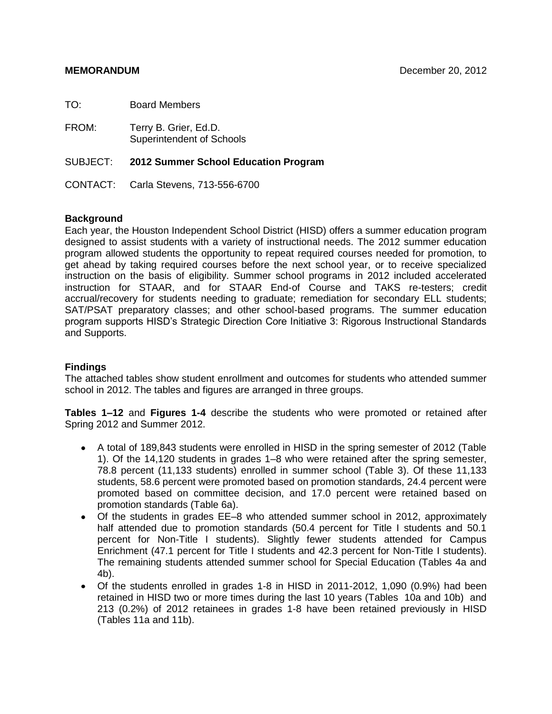| TO:   | <b>Board Members</b>                                      |
|-------|-----------------------------------------------------------|
| FROM: | Terry B. Grier, Ed.D.<br><b>Superintendent of Schools</b> |
|       | SUBJECT: 2012 Summer School Education Program             |
|       | CONTACT: Carla Stevens, 713-556-6700                      |

# **Background**

Each year, the Houston Independent School District (HISD) offers a summer education program designed to assist students with a variety of instructional needs. The 2012 summer education program allowed students the opportunity to repeat required courses needed for promotion, to get ahead by taking required courses before the next school year, or to receive specialized instruction on the basis of eligibility. Summer school programs in 2012 included accelerated instruction for STAAR, and for STAAR End-of Course and TAKS re-testers; credit accrual/recovery for students needing to graduate; remediation for secondary ELL students; SAT/PSAT preparatory classes; and other school-based programs. The summer education program supports HISD's Strategic Direction Core Initiative 3: Rigorous Instructional Standards and Supports.

# **Findings**

The attached tables show student enrollment and outcomes for students who attended summer school in 2012. The tables and figures are arranged in three groups.

**Tables 1–12** and **Figures 1-4** describe the students who were promoted or retained after Spring 2012 and Summer 2012.

- A total of 189,843 students were enrolled in HISD in the spring semester of 2012 (Table 1). Of the 14,120 students in grades 1–8 who were retained after the spring semester, 78.8 percent (11,133 students) enrolled in summer school (Table 3). Of these 11,133 students, 58.6 percent were promoted based on promotion standards, 24.4 percent were promoted based on committee decision, and 17.0 percent were retained based on promotion standards (Table 6a).
- Of the students in grades EE–8 who attended summer school in 2012, approximately half attended due to promotion standards (50.4 percent for Title I students and 50.1 percent for Non-Title I students). Slightly fewer students attended for Campus Enrichment (47.1 percent for Title I students and 42.3 percent for Non-Title I students). The remaining students attended summer school for Special Education (Tables 4a and 4b).
- Of the students enrolled in grades 1-8 in HISD in 2011-2012, 1,090 (0.9%) had been retained in HISD two or more times during the last 10 years (Tables 10a and 10b) and 213 (0.2%) of 2012 retainees in grades 1-8 have been retained previously in HISD (Tables 11a and 11b).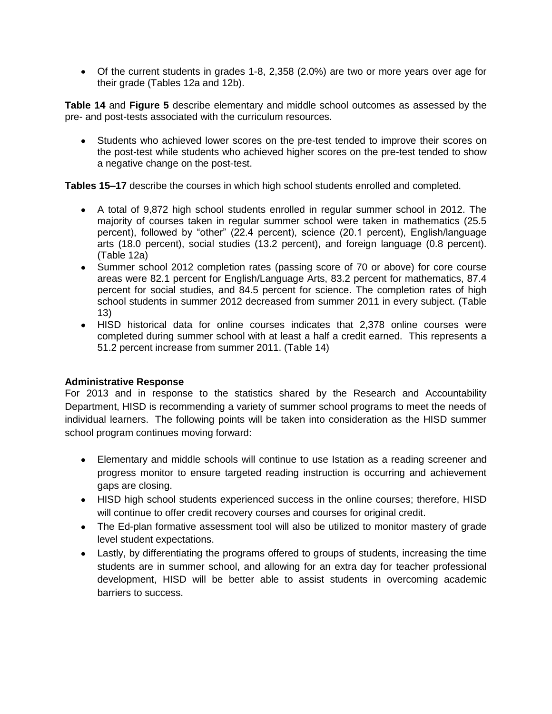Of the current students in grades 1-8, 2,358 (2.0%) are two or more years over age for their grade (Tables 12a and 12b).

**Table 14** and **Figure 5** describe elementary and middle school outcomes as assessed by the pre- and post-tests associated with the curriculum resources.

Students who achieved lower scores on the pre-test tended to improve their scores on the post-test while students who achieved higher scores on the pre-test tended to show a negative change on the post-test.

**Tables 15–17** describe the courses in which high school students enrolled and completed.

- A total of 9,872 high school students enrolled in regular summer school in 2012. The majority of courses taken in regular summer school were taken in mathematics (25.5 percent), followed by "other" (22.4 percent), science (20.1 percent), English/language arts (18.0 percent), social studies (13.2 percent), and foreign language (0.8 percent). (Table 12a)
- Summer school 2012 completion rates (passing score of 70 or above) for core course areas were 82.1 percent for English/Language Arts, 83.2 percent for mathematics, 87.4 percent for social studies, and 84.5 percent for science. The completion rates of high school students in summer 2012 decreased from summer 2011 in every subject. (Table 13)
- HISD historical data for online courses indicates that 2,378 online courses were completed during summer school with at least a half a credit earned. This represents a 51.2 percent increase from summer 2011. (Table 14)

# **Administrative Response**

For 2013 and in response to the statistics shared by the Research and Accountability Department, HISD is recommending a variety of summer school programs to meet the needs of individual learners. The following points will be taken into consideration as the HISD summer school program continues moving forward:

- Elementary and middle schools will continue to use Istation as a reading screener and progress monitor to ensure targeted reading instruction is occurring and achievement gaps are closing.
- HISD high school students experienced success in the online courses; therefore, HISD will continue to offer credit recovery courses and courses for original credit.
- The Ed-plan formative assessment tool will also be utilized to monitor mastery of grade level student expectations.
- Lastly, by differentiating the programs offered to groups of students, increasing the time students are in summer school, and allowing for an extra day for teacher professional development, HISD will be better able to assist students in overcoming academic barriers to success.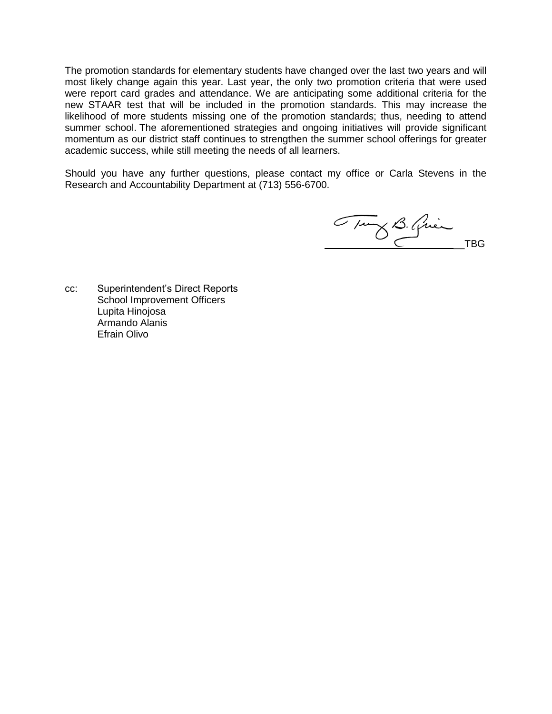The promotion standards for elementary students have changed over the last two years and will most likely change again this year. Last year, the only two promotion criteria that were used were report card grades and attendance. We are anticipating some additional criteria for the new STAAR test that will be included in the promotion standards. This may increase the likelihood of more students missing one of the promotion standards; thus, needing to attend summer school. The aforementioned strategies and ongoing initiatives will provide significant momentum as our district staff continues to strengthen the summer school offerings for greater academic success, while still meeting the needs of all learners.

Should you have any further questions, please contact my office or Carla Stevens in the Research and Accountability Department at (713) 556-6700.

Tung B. Quien

cc: Superintendent's Direct Reports School Improvement Officers Lupita Hinojosa Armando Alanis Efrain Olivo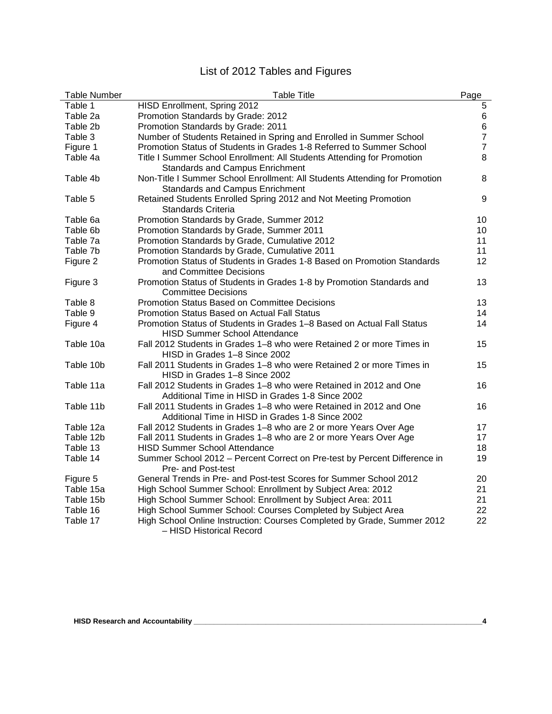# List of 2012 Tables and Figures

| <b>Table Number</b> | <b>Table Title</b>                                                         | Page           |
|---------------------|----------------------------------------------------------------------------|----------------|
| Table 1             | HISD Enrollment, Spring 2012                                               | 5              |
| Table 2a            | Promotion Standards by Grade: 2012                                         | 6              |
| Table 2b            | Promotion Standards by Grade: 2011                                         | 6              |
| Table 3             | Number of Students Retained in Spring and Enrolled in Summer School        | $\overline{7}$ |
| Figure 1            | Promotion Status of Students in Grades 1-8 Referred to Summer School       | $\overline{7}$ |
| Table 4a            | Title I Summer School Enrollment: All Students Attending for Promotion     | 8              |
|                     | Standards and Campus Enrichment                                            |                |
| Table 4b            | Non-Title I Summer School Enrollment: All Students Attending for Promotion | 8              |
|                     | <b>Standards and Campus Enrichment</b>                                     |                |
| Table 5             | Retained Students Enrolled Spring 2012 and Not Meeting Promotion           | 9              |
|                     | Standards Criteria                                                         |                |
| Table 6a            | Promotion Standards by Grade, Summer 2012                                  | 10             |
| Table 6b            | Promotion Standards by Grade, Summer 2011                                  | 10             |
| Table 7a            | Promotion Standards by Grade, Cumulative 2012                              | 11             |
| Table 7b            | Promotion Standards by Grade, Cumulative 2011                              | 11             |
| Figure 2            | Promotion Status of Students in Grades 1-8 Based on Promotion Standards    | 12             |
|                     | and Committee Decisions                                                    |                |
| Figure 3            | Promotion Status of Students in Grades 1-8 by Promotion Standards and      | 13             |
|                     | <b>Committee Decisions</b>                                                 |                |
| Table 8             | <b>Promotion Status Based on Committee Decisions</b>                       | 13             |
| Table 9             | Promotion Status Based on Actual Fall Status                               | 14             |
| Figure 4            | Promotion Status of Students in Grades 1-8 Based on Actual Fall Status     | 14             |
|                     | <b>HISD Summer School Attendance</b>                                       |                |
| Table 10a           | Fall 2012 Students in Grades 1-8 who were Retained 2 or more Times in      | 15             |
|                     | HISD in Grades 1-8 Since 2002                                              |                |
| Table 10b           | Fall 2011 Students in Grades 1-8 who were Retained 2 or more Times in      | 15             |
|                     | HISD in Grades 1-8 Since 2002                                              |                |
| Table 11a           | Fall 2012 Students in Grades 1-8 who were Retained in 2012 and One         | 16             |
|                     | Additional Time in HISD in Grades 1-8 Since 2002                           |                |
| Table 11b           | Fall 2011 Students in Grades 1–8 who were Retained in 2012 and One         | 16             |
|                     | Additional Time in HISD in Grades 1-8 Since 2002                           |                |
| Table 12a           | Fall 2012 Students in Grades 1-8 who are 2 or more Years Over Age          | 17             |
| Table 12b           | Fall 2011 Students in Grades 1-8 who are 2 or more Years Over Age          | 17             |
| Table 13            | <b>HISD Summer School Attendance</b>                                       | 18             |
| Table 14            | Summer School 2012 - Percent Correct on Pre-test by Percent Difference in  | 19             |
|                     | Pre- and Post-test                                                         |                |
| Figure 5            | General Trends in Pre- and Post-test Scores for Summer School 2012         | 20             |
| Table 15a           | High School Summer School: Enrollment by Subject Area: 2012                | 21             |
| Table 15b           | High School Summer School: Enrollment by Subject Area: 2011                | 21             |
| Table 16            | High School Summer School: Courses Completed by Subject Area               | 22             |
| Table 17            | High School Online Instruction: Courses Completed by Grade, Summer 2012    | 22             |
|                     | - HISD Historical Record                                                   |                |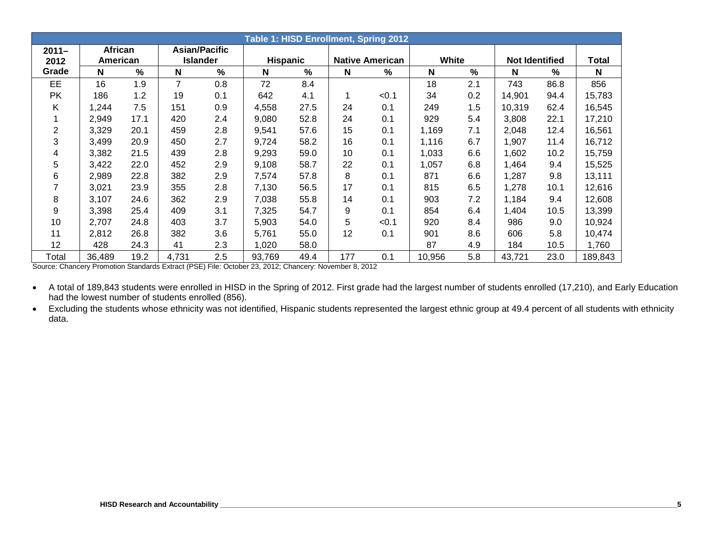|          | Table 1: HISD Enrollment, Spring 2012 |      |       |                      |                 |      |     |                        |              |     |                       |      |              |
|----------|---------------------------------------|------|-------|----------------------|-----------------|------|-----|------------------------|--------------|-----|-----------------------|------|--------------|
| $2011 -$ | <b>African</b>                        |      |       | <b>Asian/Pacific</b> |                 |      |     |                        |              |     |                       |      |              |
| 2012     | American                              |      |       | <b>Islander</b>      | <b>Hispanic</b> |      |     | <b>Native American</b> | <b>White</b> |     | <b>Not Identified</b> |      | <b>Total</b> |
| Grade    | N                                     | %    | N     | %                    | N               | %    | N   | ℅                      | N            | %   | N                     | %    | N            |
| EE       | 16                                    | 1.9  | 7     | 0.8                  | 72              | 8.4  |     |                        | 18           | 2.1 | 743                   | 86.8 | 856          |
| PK.      | 186                                   | 1.2  | 19    | 0.1                  | 642             | 4.1  |     | < 0.1                  | 34           | 0.2 | 14,901                | 94.4 | 15,783       |
| Κ        | 1,244                                 | 7.5  | 151   | 0.9                  | 4,558           | 27.5 | 24  | 0.1                    | 249          | 1.5 | 10,319                | 62.4 | 16,545       |
|          | 2,949                                 | 17.1 | 420   | 2.4                  | 9,080           | 52.8 | 24  | 0.1                    | 929          | 5.4 | 3,808                 | 22.1 | 17,210       |
| 2        | 3,329                                 | 20.1 | 459   | 2.8                  | 9,541           | 57.6 | 15  | 0.1                    | 1,169        | 7.1 | 2,048                 | 12.4 | 16,561       |
| 3        | 3,499                                 | 20.9 | 450   | 2.7                  | 9,724           | 58.2 | 16  | 0.1                    | 1,116        | 6.7 | 1,907                 | 11.4 | 16,712       |
| 4        | 3,382                                 | 21.5 | 439   | 2.8                  | 9,293           | 59.0 | 10  | 0.1                    | 1,033        | 6.6 | 1,602                 | 10.2 | 15,759       |
| 5        | 3,422                                 | 22.0 | 452   | 2.9                  | 9,108           | 58.7 | 22  | 0.1                    | 1,057        | 6.8 | 1,464                 | 9.4  | 15,525       |
| 6        | 2,989                                 | 22.8 | 382   | 2.9                  | 7,574           | 57.8 | 8   | 0.1                    | 871          | 6.6 | 1,287                 | 9.8  | 13,111       |
|          | 3,021                                 | 23.9 | 355   | 2.8                  | 7,130           | 56.5 | 17  | 0.1                    | 815          | 6.5 | 1,278                 | 10.1 | 12,616       |
| 8        | 3,107                                 | 24.6 | 362   | 2.9                  | 7,038           | 55.8 | 14  | 0.1                    | 903          | 7.2 | 1,184                 | 9.4  | 12,608       |
| 9        | 3,398                                 | 25.4 | 409   | 3.1                  | 7,325           | 54.7 | 9   | 0.1                    | 854          | 6.4 | 1,404                 | 10.5 | 13,399       |
| 10       | 2.707                                 | 24.8 | 403   | 3.7                  | 5,903           | 54.0 | 5   | < 0.1                  | 920          | 8.4 | 986                   | 9.0  | 10,924       |
| 11       | 2,812                                 | 26.8 | 382   | 3.6                  | 5,761           | 55.0 | 12  | 0.1                    | 901          | 8.6 | 606                   | 5.8  | 10,474       |
| 12       | 428                                   | 24.3 | 41    | 2.3                  | 1,020           | 58.0 |     |                        | 87           | 4.9 | 184                   | 10.5 | 1,760        |
| Total    | 36,489                                | 19.2 | 4,731 | 2.5                  | 93,769          | 49.4 | 177 | 0.1                    | 10,956       | 5.8 | 43,721                | 23.0 | 189,843      |

Source: Chancery Promotion Standards Extract (PSE) File: October 23, 2012; Chancery: November 8, 2012

• A total of 189,843 students were enrolled in HISD in the Spring of 2012. First grade had the largest number of students enrolled (17,210), and Early Education had the lowest number of students enrolled (856).

• Excluding the students whose ethnicity was not identified, Hispanic students represented the largest ethnic group at 49.4 percent of all students with ethnicity data.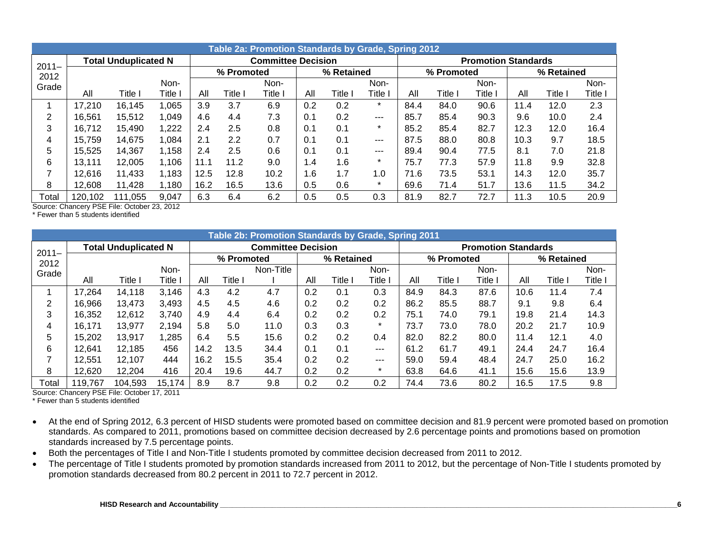|          | Table 2a: Promotion Standards by Grade, Spring 2012 |                             |       |      |            |                           |     |            |         |      |            |                            |      |            |         |  |
|----------|-----------------------------------------------------|-----------------------------|-------|------|------------|---------------------------|-----|------------|---------|------|------------|----------------------------|------|------------|---------|--|
| $2011 -$ |                                                     | <b>Total Unduplicated N</b> |       |      |            | <b>Committee Decision</b> |     |            |         |      |            | <b>Promotion Standards</b> |      |            |         |  |
| 2012     |                                                     |                             |       |      | % Promoted |                           |     | % Retained |         |      | % Promoted |                            |      | % Retained |         |  |
| Grade    |                                                     |                             | Non-  |      |            | Non-                      |     |            | Non-    |      |            | Non-                       |      |            | Non-    |  |
|          | All                                                 | Title l                     | Title | All  | Title      | Title I                   | All | Title      | Title   | All  | Title I    | Title                      | All  | Title      | Title l |  |
|          | 17,210                                              | 16,145                      | 1,065 | 3.9  | 3.7        | 6.9                       | 0.2 | 0.2        | $\star$ | 84.4 | 84.0       | 90.6                       | 11.4 | 12.0       | 2.3     |  |
| 2        | 16,561                                              | 15,512                      | 1,049 | 4.6  | 4.4        | 7.3                       | 0.1 | 0.2        | ---     | 85.7 | 85.4       | 90.3                       | 9.6  | 10.0       | 2.4     |  |
| 3        | 16,712                                              | 15,490                      | 1,222 | 2.4  | 2.5        | 0.8                       | 0.1 | 0.1        | $\star$ | 85.2 | 85.4       | 82.7                       | 12.3 | 12.0       | 16.4    |  |
| 4        | 15.759                                              | 14,675                      | 1,084 | 2.1  | 2.2        | 0.7                       | 0.1 | 0.1        | $--$    | 87.5 | 88.0       | 80.8                       | 10.3 | 9.7        | 18.5    |  |
| 5        | 15.525                                              | 14.367                      | 1,158 | 2.4  | 2.5        | 0.6                       | 0.1 | 0.1        | $--$    | 89.4 | 90.4       | 77.5                       | 8.1  | 7.0        | 21.8    |  |
| 6        | 13,111                                              | 12,005                      | 1,106 | 11.1 | 11.2       | 9.0                       | 1.4 | 1.6        | $\star$ | 75.7 | 77.3       | 57.9                       | 11.8 | 9.9        | 32.8    |  |
| ⇁        | 12,616                                              | 11,433                      | 1,183 | 12.5 | 12.8       | 10.2                      | 1.6 | 1.7        | 1.0     | 71.6 | 73.5       | 53.1                       | 14.3 | 12.0       | 35.7    |  |
| 8        | 12,608                                              | 11,428                      | 1,180 | 16.2 | 16.5       | 13.6                      | 0.5 | 0.6        | $\star$ | 69.6 | 71.4       | 51.7                       | 13.6 | 11.5       | 34.2    |  |
| Total    | 120,102                                             | 111,055                     | 9,047 | 6.3  | 6.4        | 6.2                       | 0.5 | 0.5        | 0.3     | 81.9 | 82.7       | 72.7                       | 11.3 | 10.5       | 20.9    |  |

\* Fewer than 5 students identified

|          | Table 2b: Promotion Standards by Grade, Spring 2011 |                             |        |      |            |                           |     |            |         |      |            |                            |      |            |       |  |
|----------|-----------------------------------------------------|-----------------------------|--------|------|------------|---------------------------|-----|------------|---------|------|------------|----------------------------|------|------------|-------|--|
| $2011 -$ |                                                     | <b>Total Unduplicated N</b> |        |      |            | <b>Committee Decision</b> |     |            |         |      |            | <b>Promotion Standards</b> |      |            |       |  |
| 2012     |                                                     |                             |        |      | % Promoted |                           |     | % Retained |         |      | % Promoted |                            |      | % Retained |       |  |
| Grade    |                                                     |                             | Non-   |      |            | Non-Title                 |     |            | Non-    |      |            | Non-                       |      |            | Non-  |  |
|          | All                                                 | Title I                     | Title  | All  | Title l    |                           | All | Title      | Title l | All  | Title      | Title                      | All  | Title      | Title |  |
|          | 17,264                                              | 14,118                      | 3,146  | 4.3  | 4.2        | 4.7                       | 0.2 | 0.1        | 0.3     | 84.9 | 84.3       | 87.6                       | 10.6 | 11.4       | 7.4   |  |
| 2        | 16,966                                              | 13,473                      | 3,493  | 4.5  | 4.5        | 4.6                       | 0.2 | 0.2        | 0.2     | 86.2 | 85.5       | 88.7                       | 9.1  | 9.8        | 6.4   |  |
| 3        | 16,352                                              | 12,612                      | 3,740  | 4.9  | 4.4        | 6.4                       | 0.2 | 0.2        | 0.2     | 75.1 | 74.0       | 79.1                       | 19.8 | 21.4       | 14.3  |  |
| 4        | 16,171                                              | 13,977                      | 2,194  | 5.8  | 5.0        | 11.0                      | 0.3 | 0.3        | $\star$ | 73.7 | 73.0       | 78.0                       | 20.2 | 21.7       | 10.9  |  |
| 5        | 15,202                                              | 13,917                      | 1,285  | 6.4  | 5.5        | 15.6                      | 0.2 | 0.2        | 0.4     | 82.0 | 82.2       | 80.0                       | 11.4 | 12.1       | 4.0   |  |
| 6        | 12,641                                              | 12,185                      | 456    | 14.2 | 13.5       | 34.4                      | 0.1 | 0.1        | $---$   | 61.2 | 61.7       | 49.1                       | 24.4 | 24.7       | 16.4  |  |
|          | 12,551                                              | 12,107                      | 444    | 16.2 | 15.5       | 35.4                      | 0.2 | 0.2        | $---$   | 59.0 | 59.4       | 48.4                       | 24.7 | 25.0       | 16.2  |  |
| 8        | 12,620                                              | 12,204                      | 416    | 20.4 | 19.6       | 44.7                      | 0.2 | 0.2        | $\star$ | 63.8 | 64.6       | 41.1                       | 15.6 | 15.6       | 13.9  |  |
| Total    | 119,767                                             | 104,593                     | 15,174 | 8.9  | 8.7        | 9.8                       | 0.2 | 0.2        | 0.2     | 74.4 | 73.6       | 80.2                       | 16.5 | 17.5       | 9.8   |  |

Source: Chancery PSE File: October 17, 2011

\* Fewer than 5 students identified

- At the end of Spring 2012, 6.3 percent of HISD students were promoted based on committee decision and 81.9 percent were promoted based on promotion standards. As compared to 2011, promotions based on committee decision decreased by 2.6 percentage points and promotions based on promotion standards increased by 7.5 percentage points.
- Both the percentages of Title I and Non-Title I students promoted by committee decision decreased from 2011 to 2012.
- The percentage of Title I students promoted by promotion standards increased from 2011 to 2012, but the percentage of Non-Title I students promoted by promotion standards decreased from 80.2 percent in 2011 to 72.7 percent in 2012.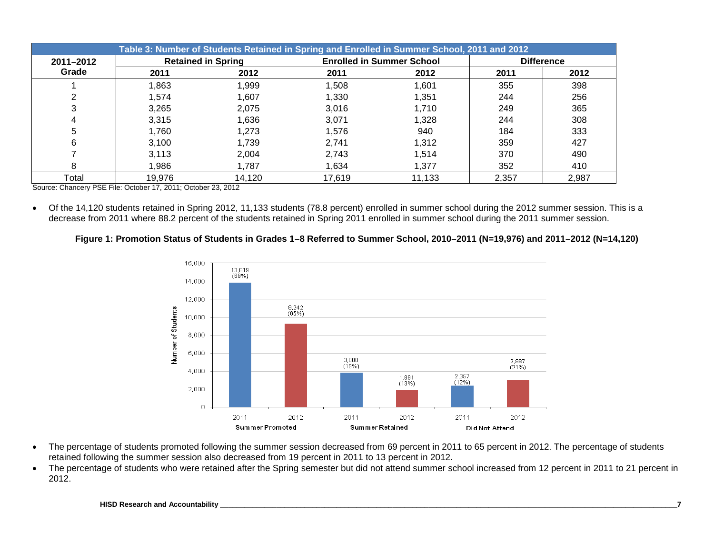|           | Table 3: Number of Students Retained in Spring and Enrolled in Summer School, 2011 and 2012 |                           |        |                                  |       |                   |  |  |  |  |  |  |  |  |
|-----------|---------------------------------------------------------------------------------------------|---------------------------|--------|----------------------------------|-------|-------------------|--|--|--|--|--|--|--|--|
| 2011-2012 |                                                                                             | <b>Retained in Spring</b> |        | <b>Enrolled in Summer School</b> |       | <b>Difference</b> |  |  |  |  |  |  |  |  |
| Grade     | 2011                                                                                        | 2012                      | 2011   | 2012                             | 2011  | 2012              |  |  |  |  |  |  |  |  |
|           | 1,863                                                                                       | 1,999                     | 1,508  | 1,601                            | 355   | 398               |  |  |  |  |  |  |  |  |
|           | 1.574                                                                                       | 1,607                     | 1,330  | 1.351                            | 244   | 256               |  |  |  |  |  |  |  |  |
| 3         | 3.265                                                                                       | 2,075                     | 3,016  | 1,710                            | 249   | 365               |  |  |  |  |  |  |  |  |
|           | 3.315                                                                                       | 1,636                     | 3,071  | 1,328                            | 244   | 308               |  |  |  |  |  |  |  |  |
| 5         | 1.760                                                                                       | 1,273                     | 1,576  | 940                              | 184   | 333               |  |  |  |  |  |  |  |  |
| 6         | 3.100                                                                                       | 1,739                     | 2,741  | 1,312                            | 359   | 427               |  |  |  |  |  |  |  |  |
|           | 3,113                                                                                       | 2,004                     | 2,743  | 1.514                            | 370   | 490               |  |  |  |  |  |  |  |  |
|           | 1,986                                                                                       | 1,787                     | 1,634  | 1.377                            | 352   | 410               |  |  |  |  |  |  |  |  |
| Total     | 19,976                                                                                      | 14,120                    | 17.619 | 11,133                           | 2,357 | 2,987             |  |  |  |  |  |  |  |  |

Source: Chancery PSE File: October 17, 2011; October 23, 2012

• Of the 14,120 students retained in Spring 2012, 11,133 students (78.8 percent) enrolled in summer school during the 2012 summer session. This is a decrease from 2011 where 88.2 percent of the students retained in Spring 2011 enrolled in summer school during the 2011 summer session.

# **Figure 1: Promotion Status of Students in Grades 1–8 Referred to Summer School, 2010–2011 (N=19,976) and 2011–2012 (N=14,120)**



- The percentage of students promoted following the summer session decreased from 69 percent in 2011 to 65 percent in 2012. The percentage of students retained following the summer session also decreased from 19 percent in 2011 to 13 percent in 2012.
- The percentage of students who were retained after the Spring semester but did not attend summer school increased from 12 percent in 2011 to 21 percent in 2012.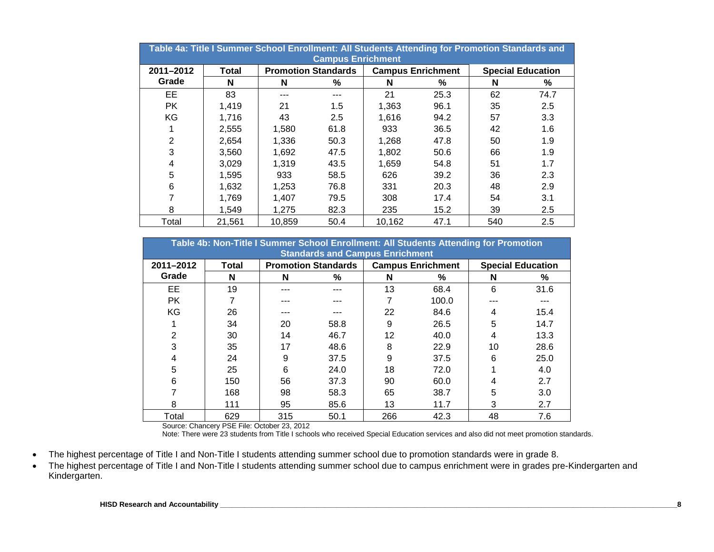|           | Table 4a: Title I Summer School Enrollment: All Students Attending for Promotion Standards and<br><b>Campus Enrichment</b> |        |                            |                          |      |     |                          |  |  |  |  |  |  |  |
|-----------|----------------------------------------------------------------------------------------------------------------------------|--------|----------------------------|--------------------------|------|-----|--------------------------|--|--|--|--|--|--|--|
| 2011-2012 | <b>Total</b>                                                                                                               |        | <b>Promotion Standards</b> | <b>Campus Enrichment</b> |      |     | <b>Special Education</b> |  |  |  |  |  |  |  |
| Grade     | N                                                                                                                          | N      | %                          | N                        | %    | N   | %                        |  |  |  |  |  |  |  |
| EE        | 83                                                                                                                         |        |                            | 21                       | 25.3 | 62  | 74.7                     |  |  |  |  |  |  |  |
| <b>PK</b> | 1,419                                                                                                                      | 21     | 1.5                        | 1,363                    | 96.1 | 35  | 2.5                      |  |  |  |  |  |  |  |
| KG        | 1,716                                                                                                                      | 43     | 2.5                        | 1,616                    | 94.2 | 57  | 3.3                      |  |  |  |  |  |  |  |
|           | 2,555                                                                                                                      | 1,580  | 61.8                       | 933                      | 36.5 | 42  | 1.6                      |  |  |  |  |  |  |  |
| 2         | 2,654                                                                                                                      | 1,336  | 50.3                       | 1,268                    | 47.8 | 50  | 1.9                      |  |  |  |  |  |  |  |
| 3         | 3,560                                                                                                                      | 1,692  | 47.5                       | 1,802                    | 50.6 | 66  | 1.9                      |  |  |  |  |  |  |  |
| 4         | 3,029                                                                                                                      | 1,319  | 43.5                       | 1,659                    | 54.8 | 51  | 1.7                      |  |  |  |  |  |  |  |
| 5         | 1,595                                                                                                                      | 933    | 58.5                       | 626                      | 39.2 | 36  | 2.3                      |  |  |  |  |  |  |  |
| 6         | 1,632                                                                                                                      | 1,253  | 76.8                       | 331                      | 20.3 | 48  | 2.9                      |  |  |  |  |  |  |  |
|           | 1,769                                                                                                                      | 1.407  | 79.5                       | 308                      | 17.4 | 54  | 3.1                      |  |  |  |  |  |  |  |
| 8         | 1,549                                                                                                                      | 1,275  | 82.3                       | 235                      | 15.2 | 39  | 2.5                      |  |  |  |  |  |  |  |
| Total     | 21,561                                                                                                                     | 10,859 | 50.4                       | 10,162                   | 47.1 | 540 | 2.5                      |  |  |  |  |  |  |  |

|                | Table 4b: Non-Title I Summer School Enrollment: All Students Attending for Promotion<br><b>Standards and Campus Enrichment</b> |     |                            |    |                          |    |                          |  |  |  |  |  |  |  |
|----------------|--------------------------------------------------------------------------------------------------------------------------------|-----|----------------------------|----|--------------------------|----|--------------------------|--|--|--|--|--|--|--|
| 2011-2012      | Total                                                                                                                          |     | <b>Promotion Standards</b> |    | <b>Campus Enrichment</b> |    | <b>Special Education</b> |  |  |  |  |  |  |  |
| Grade          | N                                                                                                                              | N   | %                          | N  | %                        | N  | %                        |  |  |  |  |  |  |  |
| EE.            | 19                                                                                                                             |     |                            | 13 | 68.4                     | 6  | 31.6                     |  |  |  |  |  |  |  |
| <b>PK</b>      |                                                                                                                                |     |                            |    | 100.0                    |    |                          |  |  |  |  |  |  |  |
| KG             | 26                                                                                                                             |     |                            | 22 | 84.6                     | 4  | 15.4                     |  |  |  |  |  |  |  |
|                | 34                                                                                                                             | 20  | 58.8                       | 9  | 26.5                     | 5  | 14.7                     |  |  |  |  |  |  |  |
| $\overline{2}$ | 30                                                                                                                             | 14  | 46.7                       | 12 | 40.0                     | 4  | 13.3                     |  |  |  |  |  |  |  |
| 3              | 35                                                                                                                             | 17  | 48.6                       | 8  | 22.9                     | 10 | 28.6                     |  |  |  |  |  |  |  |
| 4              | 24                                                                                                                             | 9   | 37.5                       | 9  | 37.5                     | 6  | 25.0                     |  |  |  |  |  |  |  |
| 5              | 25                                                                                                                             | 6   | 24.0                       | 18 | 72.0                     |    | 4.0                      |  |  |  |  |  |  |  |
| 6              | 150                                                                                                                            | 56  | 37.3                       | 90 | 60.0                     | 4  | 2.7                      |  |  |  |  |  |  |  |
|                | 168                                                                                                                            | 98  | 58.3                       | 65 | 38.7                     | 5  | 3.0                      |  |  |  |  |  |  |  |
| 8              | 111                                                                                                                            | 95  | 85.6                       | 13 | 11.7                     | 3  | 2.7                      |  |  |  |  |  |  |  |
| Total          | 629                                                                                                                            | 315 | 42.3                       | 48 | 7.6                      |    |                          |  |  |  |  |  |  |  |

Note: There were 23 students from Title I schools who received Special Education services and also did not meet promotion standards.

- The highest percentage of Title I and Non-Title I students attending summer school due to promotion standards were in grade 8.
- The highest percentage of Title I and Non-Title I students attending summer school due to campus enrichment were in grades pre-Kindergarten and Kindergarten.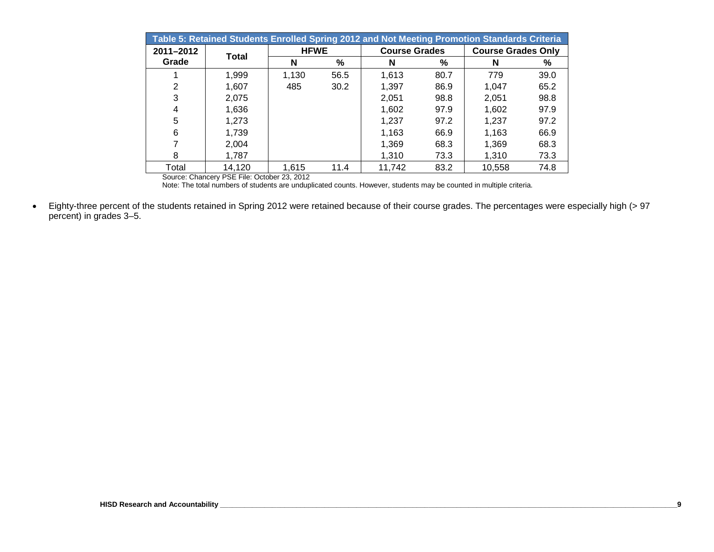| Table 5: Retained Students Enrolled Spring 2012 and Not Meeting Promotion Standards Criteria |        |             |      |                      |               |                           |      |  |  |  |  |  |  |
|----------------------------------------------------------------------------------------------|--------|-------------|------|----------------------|---------------|---------------------------|------|--|--|--|--|--|--|
| 2011-2012                                                                                    | Total  | <b>HFWE</b> |      | <b>Course Grades</b> |               | <b>Course Grades Only</b> |      |  |  |  |  |  |  |
| Grade                                                                                        |        | N           | %    | N                    | $\frac{9}{6}$ | N                         | %    |  |  |  |  |  |  |
|                                                                                              | 1,999  | 1,130       | 56.5 | 1,613                | 80.7          | 779                       | 39.0 |  |  |  |  |  |  |
| 2                                                                                            | 1,607  | 485         | 30.2 | 1,397                | 86.9          | 1.047                     | 65.2 |  |  |  |  |  |  |
| 3                                                                                            | 2,075  |             |      | 2,051                | 98.8          | 2,051                     | 98.8 |  |  |  |  |  |  |
| 4                                                                                            | 1,636  |             |      | 1,602                | 97.9          | 1,602                     | 97.9 |  |  |  |  |  |  |
| 5                                                                                            | 1,273  |             |      | 1.237                | 97.2          | 1.237                     | 97.2 |  |  |  |  |  |  |
| 6                                                                                            | 1,739  |             |      | 1,163                | 66.9          | 1,163                     | 66.9 |  |  |  |  |  |  |
|                                                                                              | 2,004  |             |      | 1,369                | 68.3          | 1,369                     | 68.3 |  |  |  |  |  |  |
| 8                                                                                            | 1,787  |             |      | 1,310                | 73.3          | 1,310                     | 73.3 |  |  |  |  |  |  |
| Total                                                                                        | 14,120 | 1,615       | 11.4 | 11,742               | 83.2          | 10,558                    | 74.8 |  |  |  |  |  |  |

Note: The total numbers of students are unduplicated counts. However, students may be counted in multiple criteria.

• Eighty-three percent of the students retained in Spring 2012 were retained because of their course grades. The percentages were especially high (> 97 percent) in grades 3–5.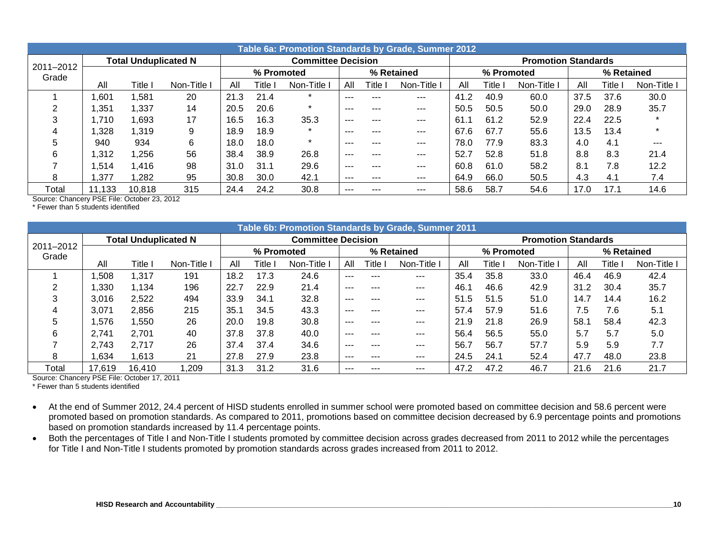|                    | Table 6a: Promotion Standards by Grade, Summer 2012 |                             |           |      |            |                           |          |            |           |      |            |                            |            |         |             |
|--------------------|-----------------------------------------------------|-----------------------------|-----------|------|------------|---------------------------|----------|------------|-----------|------|------------|----------------------------|------------|---------|-------------|
|                    |                                                     | <b>Total Unduplicated N</b> |           |      |            | <b>Committee Decision</b> |          |            |           |      |            | <b>Promotion Standards</b> |            |         |             |
| 2011-2012<br>Grade |                                                     |                             |           |      | % Promoted |                           |          | % Retained |           |      | % Promoted |                            | % Retained |         |             |
|                    | All                                                 | Title                       | Non-Title | All  | Title      | Non-Title                 | All      | ⊺itle l    | Non-Title | All  | Title      | Non-Title                  | All        | Title l | Non-Title I |
|                    | .601                                                | ,581                        | 20        | 21.3 | 21.4       |                           | ---      |            | ---       | 41.2 | 40.9       | 60.0                       | 37.5       | 37.6    | 30.0        |
|                    | ,351                                                | 1,337                       | 14        | 20.5 | 20.6       |                           | $- - -$  |            | ---       | 50.5 | 50.5       | 50.0                       | 29.0       | 28.9    | 35.7        |
| 3                  | .710                                                | 1,693                       | 17        | 16.5 | 16.3       | 35.3                      | $- - -$  | ---        | $- - -$   | 61.1 | 61.2       | 52.9                       | 22.4       | 22.5    |             |
|                    | .328                                                | 1,319                       | 9         | 18.9 | 18.9       |                           | ---      |            | $- - -$   | 67.6 | 67.7       | 55.6                       | 13.5       | 13.4    |             |
| 5                  | 940                                                 | 934                         | 6         | 18.0 | 18.0       |                           | $- - -$  |            | $-- -$    | 78.0 | 77.9       | 83.3                       | 4.0        | 4.1     | $- - -$     |
| 6                  | ,312                                                | 1,256                       | 56        | 38.4 | 38.9       | 26.8                      | $\cdots$ | ---        | $-- -$    | 52.7 | 52.8       | 51.8                       | 8.8        | 8.3     | 21.4        |
|                    | .514                                                | 1,416                       | 98        | 31.0 | 31.1       | 29.6                      | ---      |            | ---       | 60.8 | 61.0       | 58.2                       | 8.1        | 7.8     | 12.2        |
| 8                  | ,377                                                | 1,282                       | 95        | 30.8 | 30.0       | 42.1                      | $\cdots$ |            | $-- -$    | 64.9 | 66.0       | 50.5                       | 4.3        | 4.1     | 7.4         |
| Total              | 11,133                                              | 10,818                      | 315       | 24.4 | 24.2       | 30.8                      | $\cdots$ |            | $-- -$    | 58.6 | 58.7       | 54.6                       | 17.0       | 17.1    | 14.6        |

\* Fewer than 5 students identified

|                    | Table 6b: Promotion Standards by Grade, Summer 2011 |                             |           |      |            |                           |         |         |             |      |            |                            |      |            |             |
|--------------------|-----------------------------------------------------|-----------------------------|-----------|------|------------|---------------------------|---------|---------|-------------|------|------------|----------------------------|------|------------|-------------|
|                    |                                                     | <b>Total Unduplicated N</b> |           |      |            | <b>Committee Decision</b> |         |         |             |      |            | <b>Promotion Standards</b> |      |            |             |
| 2011-2012<br>Grade |                                                     |                             |           |      | % Promoted |                           |         |         | % Retained  |      | % Promoted |                            |      | % Retained |             |
|                    | All                                                 | Title                       | Non-Title | All  | Title      | Non-Title                 | All     | ا Title | Non-Title I | All  | Title      | Non-Title                  | All  | Title l    | Non-Title I |
|                    | .508                                                | 1,317                       | 191       | 18.2 | 17.3       | 24.6                      | ---     | ---     | ---         | 35.4 | 35.8       | 33.0                       | 46.4 | 46.9       | 42.4        |
|                    | .330                                                | 1,134                       | 196       | 22.7 | 22.9       | 21.4                      | $--$    | ---     | $---$       | 46.1 | 46.6       | 42.9                       | 31.2 | 30.4       | 35.7        |
| 3                  | 3,016                                               | 2,522                       | 494       | 33.9 | 34.1       | 32.8                      | ---     | ---     | ---         | 51.5 | 51.5       | 51.0                       | 14.7 | 14.4       | 16.2        |
|                    | 3,071                                               | 2,856                       | 215       | 35.1 | 34.5       | 43.3                      | ---     | ---     | ---         | 57.4 | 57.9       | 51.6                       | 7.5  | 7.6        | 5.1         |
| 5                  | .576                                                | 550, ا                      | 26        | 20.0 | 19.8       | 30.8                      | $- - -$ | ---     | $---$       | 21.9 | 21.8       | 26.9                       | 58.1 | 58.4       | 42.3        |
| 6                  | 2,741                                               | 2,701                       | 40        | 37.8 | 37.8       | 40.0                      | ---     | ---     | ---         | 56.4 | 56.5       | 55.0                       | 5.7  | 5.7        | 5.0         |
|                    | 2,743                                               | 2,717                       | 26        | 37.4 | 37.4       | 34.6                      | ---     | ---     | $---$       | 56.7 | 56.7       | 57.7                       | 5.9  | 5.9        | 7.7         |
| 8                  | .634                                                | 1,613                       | 21        | 27.8 | 27.9       | 23.8                      | $---$   | ---     | $---$       | 24.5 | 24.1       | 52.4                       | 47.7 | 48.0       | 23.8        |
| Total              | 17,619                                              | 16,410                      | ,209      | 31.3 | 31.2       | 31.6                      | ---     | ---     | $---$       | 47.2 | 47.2       | 46.7                       | 21.6 | 21.6       | 21.7        |

Source: Chancery PSE File: October 17, 2011

\* Fewer than 5 students identified

- At the end of Summer 2012, 24.4 percent of HISD students enrolled in summer school were promoted based on committee decision and 58.6 percent were promoted based on promotion standards. As compared to 2011, promotions based on committee decision decreased by 6.9 percentage points and promotions based on promotion standards increased by 11.4 percentage points.
- Both the percentages of Title I and Non-Title I students promoted by committee decision across grades decreased from 2011 to 2012 while the percentages for Title I and Non-Title I students promoted by promotion standards across grades increased from 2011 to 2012.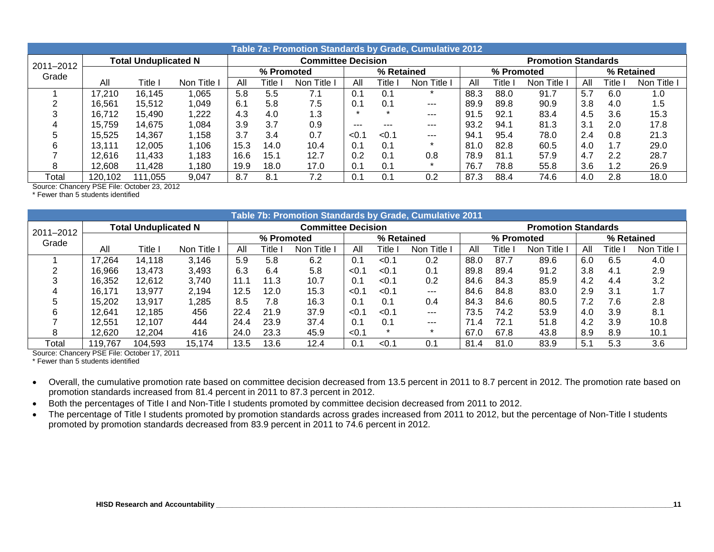|           | Table 7a: Promotion Standards by Grade, Cumulative 2012 |                             |           |      |            |                           |      |            |           |      |            |                            |     |            |             |
|-----------|---------------------------------------------------------|-----------------------------|-----------|------|------------|---------------------------|------|------------|-----------|------|------------|----------------------------|-----|------------|-------------|
| 2011-2012 |                                                         | <b>Total Unduplicated N</b> |           |      |            | <b>Committee Decision</b> |      |            |           |      |            | <b>Promotion Standards</b> |     |            |             |
| Grade     |                                                         |                             |           |      | % Promoted |                           |      | % Retained |           |      | % Promoted |                            |     | % Retained |             |
|           | All                                                     | Title                       | Non Title | All  | Γitle⊹     | Title<br>Non.             | All  | Title,     | Non Title | All  | Title.     | Non Title                  | All | Γitle⊹     | Non Title I |
|           | 17,210                                                  | 16.145                      | ,065      | 5.8  | 5.5        | 7.1                       | 0.1  | 0.         |           | 88.3 | 88.0       | 91.7                       | 5.7 | 6.0        | 1.0         |
|           | 16.561                                                  | 15.512                      | 049, ا    | 6.1  | 5.8        | 7.5                       | 0.1  | 0.1        | ---       | 89.9 | 89.8       | 90.9                       | 3.8 | 4.0        | 1.5         |
|           | 16.712                                                  | 15.490                      | 1,222     | 4.3  | 4.0        | 1.3                       | ÷    |            | $- - -$   | 91.5 | 92.1       | 83.4                       | 4.5 | 3.6        | 15.3        |
| 4         | 15.759                                                  | 14,675                      | .084      | 3.9  | 3.7        | 0.9                       | ---  |            | ---       | 93.2 | 94.1       | 81.3                       | 3.1 | 2.0        | 17.8        |
|           | 15.525                                                  | 14.367                      | ∣.158     | 3.7  | 3.4        | 0.7                       | < 0. | < 0.1      | $---$     | 94.1 | 95.4       | 78.0                       | 2.4 | 0.8        | 21.3        |
| 6         | 13.111                                                  | 12.005                      | Ⅰ.106     | 15.3 | 14.0       | 10.4                      | 0.1  | 0.1        |           | 81.0 | 82.8       | 60.5                       | 4.0 | 1.7        | 29.0        |
|           | 12.616                                                  | 11.433                      | ∣.183     | 16.6 | 15.1       | 12.7                      | 0.2  | 0.1        | 0.8       | 78.9 | 81.1       | 57.9                       | 4.7 | 2.2        | 28.7        |
| 8         | 12.608                                                  | 11.428                      | 1,180     | 19.9 | 18.0       | 17.0                      | 0.1  | 0.1        |           | 76.7 | 78.8       | 55.8                       | 3.6 | 1.2        | 26.9        |
| Total     | 120,102                                                 | 111,055                     | 9,047     | 8.7  | 8.1        | 7.2                       | 0.1  |            | 0.2       | 87.3 | 88.4       | 74.6                       | 4.0 | 2.8        | 18.0        |

\* Fewer than 5 students identified

|           |         |                             |             |      |            | Table 7b: Promotion Standards by Grade, Cumulative 2011 |       |            |           |      |            |                            |            |        |             |
|-----------|---------|-----------------------------|-------------|------|------------|---------------------------------------------------------|-------|------------|-----------|------|------------|----------------------------|------------|--------|-------------|
| 2011-2012 |         | <b>Total Unduplicated N</b> |             |      |            | <b>Committee Decision</b>                               |       |            |           |      |            | <b>Promotion Standards</b> |            |        |             |
| Grade     |         |                             |             |      | % Promoted |                                                         |       | % Retained |           |      | % Promoted |                            | % Retained |        |             |
|           | All     | Title                       | Non Title I | All  | Гitlе.     | Non Title                                               | All   | Title      | Non Title | All  | Title      | Non Title                  | All        | Γitle⊹ | Non Title I |
|           | 17,264  | 14.118                      | 3,146       | 5.9  | 5.8        | 6.2                                                     | 0.1   | < 0.1      | 0.2       | 88.0 | 87.7       | 89.6                       | 6.0        | 6.5    | 4.0         |
|           | 16,966  | 13,473                      | 3,493       | 6.3  | 6.4        | 5.8                                                     | < 0.1 | < 0.1      | 0.1       | 89.8 | 89.4       | 91.2                       | 3.8        | 4.1    | 2.9         |
|           | 16.352  | 12.612                      | 3.740       | 11.1 | 11.3       | 10.7                                                    | 0.1   | < 0.1      | 0.2       | 84.6 | 84.3       | 85.9                       | 4.2        | 4.4    | 3.2         |
|           | 16.171  | 13.977                      | 2.194       | 12.5 | 12.0       | 15.3                                                    | < 0.1 | < 0.1      | $---$     | 84.6 | 84.8       | 83.0                       | 2.9        | 3.1    | 1.7         |
|           | 15.202  | 13.917                      | 1,285       | 8.5  | 7.8        | 16.3                                                    | 0.1   | 0.1        | 0.4       | 84.3 | 84.6       | 80.5                       | 7.2        | 7.6    | 2.8         |
|           | 12.641  | 12.185                      | 456         | 22.4 | 21.9       | 37.9                                                    | < 0.1 | < 0.1      | $- - -$   | 73.5 | 74.2       | 53.9                       | 4.0        | 3.9    | 8.1         |
|           | 12.551  | 12.107                      | 444         | 24.4 | 23.9       | 37.4                                                    | 0.1   | 0.1        | $---$     | 71.4 | 72.1       | 51.8                       | 4.2        | 3.9    | 10.8        |
| 8         | 12,620  | 12.204                      | 416         | 24.0 | 23.3       | 45.9                                                    | < 0.1 |            |           | 67.0 | 67.8       | 43.8                       | 8.9        | 8.9    | 10.1        |
| Total     | 119,767 | 104,593                     | 15,174      | 13.5 | 13.6       | 12.4                                                    | 0.1   | < 0.1      | 0.1       | 81.4 | 81.0       | 83.9                       | 5.1        | 5.3    | 3.6         |

Source: Chancery PSE File: October 17, 2011

\* Fewer than 5 students identified

• Overall, the cumulative promotion rate based on committee decision decreased from 13.5 percent in 2011 to 8.7 percent in 2012. The promotion rate based on promotion standards increased from 81.4 percent in 2011 to 87.3 percent in 2012.

• Both the percentages of Title I and Non-Title I students promoted by committee decision decreased from 2011 to 2012.

• The percentage of Title I students promoted by promotion standards across grades increased from 2011 to 2012, but the percentage of Non-Title I students promoted by promotion standards decreased from 83.9 percent in 2011 to 74.6 percent in 2012.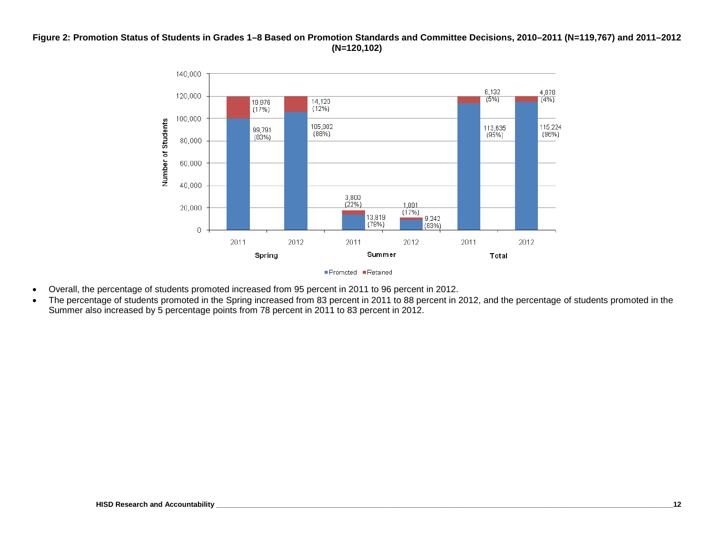### **Figure 2: Promotion Status of Students in Grades 1–8 Based on Promotion Standards and Committee Decisions, 2010–2011 (N=119,767) and 2011–2012 (N=120,102)**



- Overall, the percentage of students promoted increased from 95 percent in 2011 to 96 percent in 2012.
- The percentage of students promoted in the Spring increased from 83 percent in 2011 to 88 percent in 2012, and the percentage of students promoted in the Summer also increased by 5 percentage points from 78 percent in 2011 to 83 percent in 2012.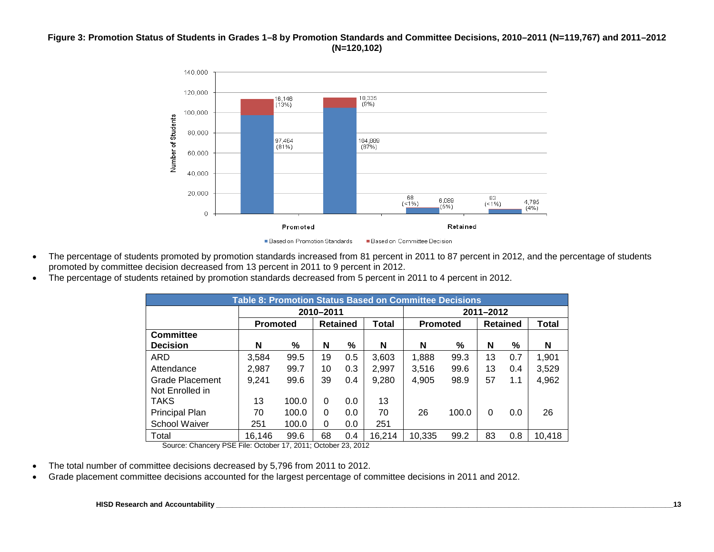### **Figure 3: Promotion Status of Students in Grades 1–8 by Promotion Standards and Committee Decisions, 2010–2011 (N=119,767) and 2011–2012 (N=120,102)**



- The percentage of students promoted by promotion standards increased from 81 percent in 2011 to 87 percent in 2012, and the percentage of students promoted by committee decision decreased from 13 percent in 2011 to 9 percent in 2012.
- The percentage of students retained by promotion standards decreased from 5 percent in 2011 to 4 percent in 2012.

|                             |                 |       |           |                 |        | <b>Table 8: Promotion Status Based on Committee Decisions</b> |       |           |                 |        |
|-----------------------------|-----------------|-------|-----------|-----------------|--------|---------------------------------------------------------------|-------|-----------|-----------------|--------|
|                             |                 |       | 2010-2011 |                 |        |                                                               |       | 2011-2012 |                 |        |
|                             | <b>Promoted</b> |       |           | <b>Retained</b> | Total  | <b>Promoted</b>                                               |       |           | <b>Retained</b> | Total  |
| <b>Committee</b>            |                 |       |           |                 |        |                                                               |       |           |                 |        |
| <b>Decision</b>             | N               | %     | N         | %               | N      | N                                                             | %     | N         | %               | N      |
| ARD                         | 3,584           | 99.5  | 19        | 0.5             | 3,603  | 1,888                                                         | 99.3  | 13        | 0.7             | 1,901  |
| Attendance                  | 2,987           | 99.7  | 10        | 0.3             | 2,997  | 3,516                                                         | 99.6  | 13        | 0.4             | 3,529  |
| Grade Placement             | 9,241           | 99.6  | 39        | 0.4             | 9,280  | 4.905                                                         | 98.9  | 57        | 1.1             | 4,962  |
| Not Enrolled in             |                 |       |           |                 |        |                                                               |       |           |                 |        |
| <b>TAKS</b>                 | 13              | 100.0 | 0         | 0.0             | 13     |                                                               |       |           |                 |        |
| Principal Plan              | 70              | 100.0 | 0         | 0.0             | 70     | 26                                                            | 100.0 | $\Omega$  | 0.0             | 26     |
| School Waiver               | 251             | 100.0 | 0         | 0.0             | 251    |                                                               |       |           |                 |        |
| Total<br>--- --<br>$\sim$ . | 16,146          | 99.6  | 68        | 0.4             | 16,214 | 10.335                                                        | 99.2  | 83        | 0.8             | 10,418 |

Source: Chancery PSE File: October 17, 2011; October 23, 2012

- The total number of committee decisions decreased by 5,796 from 2011 to 2012.
- Grade placement committee decisions accounted for the largest percentage of committee decisions in 2011 and 2012.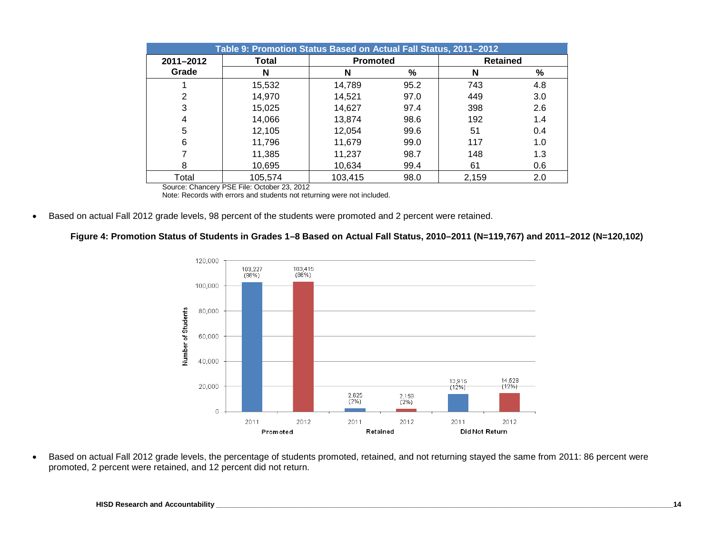|           | Table 9: Promotion Status Based on Actual Fall Status, 2011-2012 |                 |      |                 |      |
|-----------|------------------------------------------------------------------|-----------------|------|-----------------|------|
| 2011-2012 | Total                                                            | <b>Promoted</b> |      | <b>Retained</b> |      |
| Grade     | N                                                                | N               | %    | N               | $\%$ |
|           | 15,532                                                           | 14,789          | 95.2 | 743             | 4.8  |
| 2         | 14,970                                                           | 14,521          | 97.0 | 449             | 3.0  |
| 3         | 15,025                                                           | 14,627          | 97.4 | 398             | 2.6  |
| 4         | 14,066                                                           | 13,874          | 98.6 | 192             | 1.4  |
| 5         | 12,105                                                           | 12,054          | 99.6 | 51              | 0.4  |
| 6         | 11,796                                                           | 11,679          | 99.0 | 117             | 1.0  |
|           | 11,385                                                           | 11,237          | 98.7 | 148             | 1.3  |
| 8         | 10,695                                                           | 10,634          | 99.4 | 61              | 0.6  |
| Total     | 105,574                                                          | 103,415         | 98.0 | 2,159           | 2.0  |

Note: Records with errors and students not returning were not included.

• Based on actual Fall 2012 grade levels, 98 percent of the students were promoted and 2 percent were retained.

### **Figure 4: Promotion Status of Students in Grades 1–8 Based on Actual Fall Status, 2010–2011 (N=119,767) and 2011–2012 (N=120,102)**



• Based on actual Fall 2012 grade levels, the percentage of students promoted, retained, and not returning stayed the same from 2011: 86 percent were promoted, 2 percent were retained, and 12 percent did not return.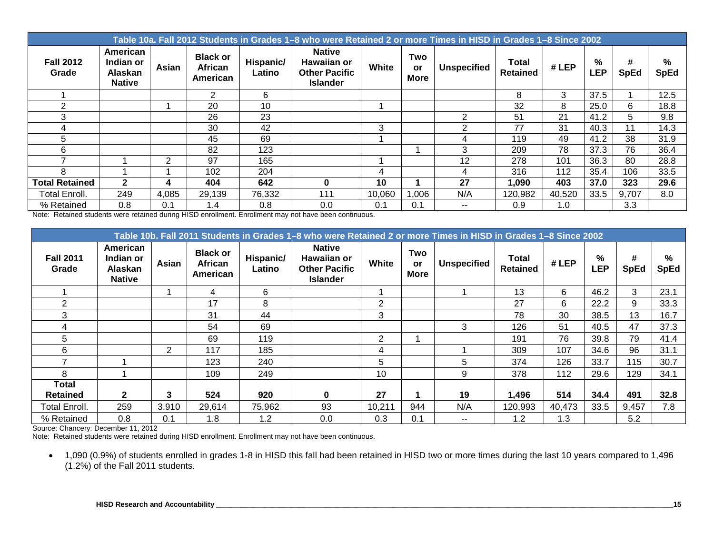|                           | Table 10a. Fall 2012 Students in Grades 1–8 who were Retained 2 or more Times in HISD in Grades 1–8 Since 2002 |       |                                        |                     |                                                                         |        |                          |                    |                                 |        |                 |                  |                  |  |
|---------------------------|----------------------------------------------------------------------------------------------------------------|-------|----------------------------------------|---------------------|-------------------------------------------------------------------------|--------|--------------------------|--------------------|---------------------------------|--------|-----------------|------------------|------------------|--|
| <b>Fall 2012</b><br>Grade | American<br>Indian or<br>Alaskan<br><b>Native</b>                                                              | Asian | <b>Black or</b><br>African<br>American | Hispanic/<br>Latino | <b>Native</b><br>Hawaiian or<br><b>Other Pacific</b><br><b>Islander</b> | White  | Two<br>or<br><b>More</b> | <b>Unspecified</b> | <b>Total</b><br><b>Retained</b> | # LEP  | %<br><b>LEP</b> | #<br><b>SpEd</b> | %<br><b>SpEd</b> |  |
|                           |                                                                                                                |       | 2                                      | 6                   |                                                                         |        |                          |                    | 8                               | 3      | 37.5            |                  | 12.5             |  |
| $\mathcal{P}$             |                                                                                                                |       | 20                                     | 10                  |                                                                         |        |                          |                    | 32                              | 8      | 25.0            | 6                | 18.8             |  |
| 3                         |                                                                                                                |       | 26                                     | 23                  |                                                                         |        |                          | 2                  | 51                              | 21     | 41.2            | 5                | 9.8              |  |
|                           |                                                                                                                |       | 30                                     | 42                  |                                                                         | 3      |                          | $\mathfrak{p}$     | 77                              | 31     | 40.3            | 11               | 14.3             |  |
| 5                         |                                                                                                                |       | 45                                     | 69                  |                                                                         |        |                          | 4                  | 119                             | 49     | 41.2            | 38               | 31.9             |  |
| 6                         |                                                                                                                |       | 82                                     | 123                 |                                                                         |        |                          | 3                  | 209                             | 78     | 37.3            | 76               | 36.4             |  |
|                           |                                                                                                                | 2     | 97                                     | 165                 |                                                                         |        |                          | 12                 | 278                             | 101    | 36.3            | 80               | 28.8             |  |
| 8                         |                                                                                                                |       | 102                                    | 204                 |                                                                         | 4      |                          | 4                  | 316                             | 112    | 35.4            | 106              | 33.5             |  |
| <b>Total Retained</b>     | $\mathbf{2}$                                                                                                   | 4     | 404                                    | 642                 | 0                                                                       | 10     |                          | 27                 | 1,090                           | 403    | 37.0            | 323              | 29.6             |  |
| <b>Total Enroll.</b>      | 249                                                                                                            | 4,085 | 29,139                                 | 76,332              | 111                                                                     | 10,060 | ,006                     | N/A                | 120,982                         | 40,520 | 33.5            | 9,707            | 8.0              |  |
| % Retained                | 0.8                                                                                                            | 0.1   | 1.4                                    | 0.8                 | 0.0                                                                     | 0.1    | 0.1                      | $- -$              | 0.9                             | 1.0    |                 | 3.3              |                  |  |

Note: Retained students were retained during HISD enrollment. Enrollment may not have been continuous.

|                           | Table 10b. Fall 2011 Students in Grades 1–8 who were Retained 2 or more Times in HISD in Grades 1–8 Since 2002 |                |                                        |                     |                                                                         |        |                          |                    |                                 |        |                 |                  |                  |
|---------------------------|----------------------------------------------------------------------------------------------------------------|----------------|----------------------------------------|---------------------|-------------------------------------------------------------------------|--------|--------------------------|--------------------|---------------------------------|--------|-----------------|------------------|------------------|
| <b>Fall 2011</b><br>Grade | American<br>Indian or<br>Alaskan<br><b>Native</b>                                                              | Asian          | <b>Black or</b><br>African<br>American | Hispanic/<br>Latino | <b>Native</b><br>Hawaiian or<br><b>Other Pacific</b><br><b>Islander</b> | White  | Two<br>or<br><b>More</b> | <b>Unspecified</b> | <b>Total</b><br><b>Retained</b> | #LEP   | %<br><b>LEP</b> | #<br><b>SpEd</b> | %<br><b>SpEd</b> |
|                           |                                                                                                                |                | 4                                      | 6                   |                                                                         |        |                          |                    | 13                              | 6      | 46.2            | 3                | 23.1             |
| 2                         |                                                                                                                |                | 17                                     | 8                   |                                                                         | 2      |                          |                    | 27                              | 6      | 22.2            | 9                | 33.3             |
| 3                         |                                                                                                                |                | 31                                     | 44                  |                                                                         | 3      |                          |                    | 78                              | 30     | 38.5            | 13               | 16.7             |
| 4                         |                                                                                                                |                | 54                                     | 69                  |                                                                         |        |                          | 3                  | 126                             | 51     | 40.5            | 47               | 37.3             |
| 5                         |                                                                                                                |                | 69                                     | 119                 |                                                                         | 2      |                          |                    | 191                             | 76     | 39.8            | 79               | 41.4             |
| 6                         |                                                                                                                | $\overline{2}$ | 117                                    | 185                 |                                                                         | 4      |                          |                    | 309                             | 107    | 34.6            | 96               | 31.1             |
|                           |                                                                                                                |                | 123                                    | 240                 |                                                                         | 5      |                          | 5                  | 374                             | 126    | 33.7            | 115              | 30.7             |
| 8                         |                                                                                                                |                | 109                                    | 249                 |                                                                         | 10     |                          | 9                  | 378                             | 112    | 29.6            | 129              | 34.1             |
| <b>Total</b>              |                                                                                                                |                |                                        |                     |                                                                         |        |                          |                    |                                 |        |                 |                  |                  |
| <b>Retained</b>           | $\mathbf{2}$                                                                                                   | 3              | 524                                    | 920                 | O                                                                       | 27     |                          | 19                 | 1,496                           | 514    | 34.4            | 491              | 32.8             |
| Total Enroll.             | 259                                                                                                            | 3,910          | 29,614                                 | 75,962              | 93                                                                      | 10,211 | 944                      | N/A                | 120,993                         | 40,473 | 33.5            | 9,457            | 7.8              |
| % Retained                | 0.8                                                                                                            | 0.1            | 1.8                                    | 1.2                 | 0.0                                                                     | 0.3    | 0.1                      | $- -$              | 1.2                             | 1.3    |                 | 5.2              |                  |

Source: Chancery: December 11, 2012

Note: Retained students were retained during HISD enrollment. Enrollment may not have been continuous.

• 1,090 (0.9%) of students enrolled in grades 1-8 in HISD this fall had been retained in HISD two or more times during the last 10 years compared to 1,496  $(1.2\%)$  of the Fall 2011 students.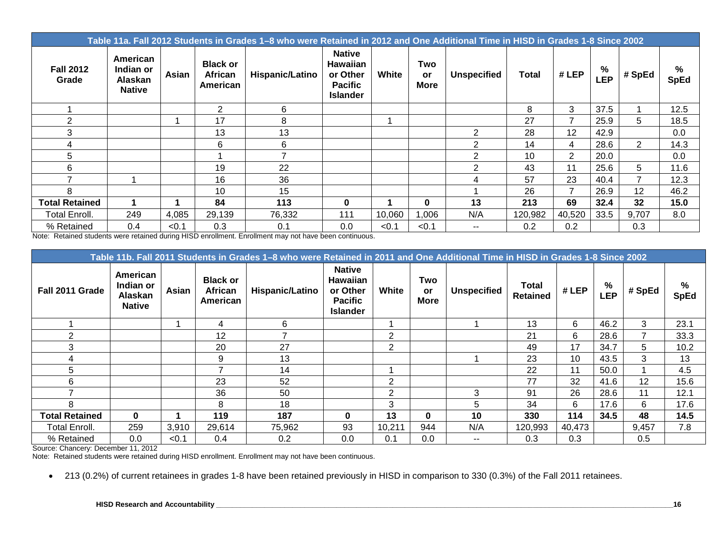|                           | Table 11a. Fall 2012 Students in Grades 1–8 who were Retained in 2012 and One Additional Time in HISD in Grades 1-8 Since 2002 |       |                                        |                        |                                                                                   |        |                                 |                    |         |                |          |                |                  |
|---------------------------|--------------------------------------------------------------------------------------------------------------------------------|-------|----------------------------------------|------------------------|-----------------------------------------------------------------------------------|--------|---------------------------------|--------------------|---------|----------------|----------|----------------|------------------|
| <b>Fall 2012</b><br>Grade | American<br>Indian or<br>Alaskan<br><b>Native</b>                                                                              | Asian | <b>Black or</b><br>African<br>American | <b>Hispanic/Latino</b> | <b>Native</b><br><b>Hawaiian</b><br>or Other<br><b>Pacific</b><br><b>Islander</b> | White  | Two<br><b>or</b><br><b>More</b> | <b>Unspecified</b> | Total   | #LEP           | %<br>LEP | # SpEd         | %<br><b>SpEd</b> |
|                           |                                                                                                                                |       | 2                                      | 6                      |                                                                                   |        |                                 |                    | 8       | 3              | 37.5     |                | 12.5             |
| 2                         |                                                                                                                                |       | 17                                     | 8                      |                                                                                   |        |                                 |                    | 27      | $\overline{ }$ | 25.9     | 5              | 18.5             |
| 3                         |                                                                                                                                |       | 13                                     | 13                     |                                                                                   |        |                                 | $\overline{2}$     | 28      | 12             | 42.9     |                | 0.0              |
| 4                         |                                                                                                                                |       | 6                                      | 6                      |                                                                                   |        |                                 | 2                  | 14      | 4              | 28.6     | 2              | 14.3             |
| 5                         |                                                                                                                                |       |                                        | 7                      |                                                                                   |        |                                 | 2                  | 10      | $\overline{2}$ | 20.0     |                | 0.0              |
| 6                         |                                                                                                                                |       | 19                                     | 22                     |                                                                                   |        |                                 | 2                  | 43      | 11             | 25.6     | 5              | 11.6             |
| ⇁                         |                                                                                                                                |       | 16                                     | 36                     |                                                                                   |        |                                 | 4                  | 57      | 23             | 40.4     | $\overline{7}$ | 12.3             |
| 8                         |                                                                                                                                |       | 10                                     | 15                     |                                                                                   |        |                                 |                    | 26      | $\overline{ }$ | 26.9     | 12             | 46.2             |
| <b>Total Retained</b>     |                                                                                                                                |       | 84                                     | 113                    | $\bf{0}$                                                                          |        | $\bf{0}$                        | 13                 | 213     | 69             | 32.4     | 32             | 15.0             |
| <b>Total Enroll.</b>      | 249                                                                                                                            | 4,085 | 29,139                                 | 76,332                 | 111                                                                               | 10,060 | ,006                            | N/A                | 120,982 | 40,520         | 33.5     | 9,707          | 8.0              |
| % Retained                | 0.4                                                                                                                            | < 0.1 | 0.3                                    | 0.1                    | 0.0                                                                               | < 0.1  | < 0.1                           | $- -$              | 0.2     | 0.2            |          | 0.3            |                  |

Note: Retained students were retained during HISD enrollment. Enrollment may not have been continuous.

|                       |                                                   |       |                                        | Table 11b. Fall 2011 Students in Grades 1-8 who were Retained in 2011 and One Additional Time in HISD in Grades 1-8 Since 2002 |                                                                                   |                |                                 |                          |                                 |        |                 |                 |                  |
|-----------------------|---------------------------------------------------|-------|----------------------------------------|--------------------------------------------------------------------------------------------------------------------------------|-----------------------------------------------------------------------------------|----------------|---------------------------------|--------------------------|---------------------------------|--------|-----------------|-----------------|------------------|
| Fall 2011 Grade       | American<br>Indian or<br>Alaskan<br><b>Native</b> | Asian | <b>Black or</b><br>African<br>American | Hispanic/Latino                                                                                                                | <b>Native</b><br><b>Hawaiian</b><br>or Other<br><b>Pacific</b><br><b>Islander</b> | White          | Two<br><b>or</b><br><b>More</b> | <b>Unspecified</b>       | <b>Total</b><br><b>Retained</b> | # LEP  | %<br><b>LEP</b> | # SpEd          | %<br><b>SpEd</b> |
|                       |                                                   |       | 4                                      | 6                                                                                                                              |                                                                                   |                |                                 |                          | 13                              | 6      | 46.2            | 3               | 23.1             |
| 2                     |                                                   |       | 12                                     |                                                                                                                                |                                                                                   | $\overline{2}$ |                                 |                          | 21                              | 6      | 28.6            | 7               | 33.3             |
| 3                     |                                                   |       | 20                                     | 27                                                                                                                             |                                                                                   | 2              |                                 |                          | 49                              | 17     | 34.7            | 5.              | 10.2             |
| 4                     |                                                   |       | 9                                      | 13                                                                                                                             |                                                                                   |                |                                 |                          | 23                              | 10     | 43.5            | 3               | 13               |
| 5                     |                                                   |       |                                        | 14                                                                                                                             |                                                                                   |                |                                 |                          | 22                              | 11     | 50.0            |                 | 4.5              |
| 6                     |                                                   |       | 23                                     | 52                                                                                                                             |                                                                                   | $\overline{2}$ |                                 |                          | 77                              | 32     | 41.6            | 12 <sup>2</sup> | 15.6             |
|                       |                                                   |       | 36                                     | 50                                                                                                                             |                                                                                   | 2              |                                 | 3                        | 91                              | 26     | 28.6            | 11              | 12.1             |
| 8                     |                                                   |       | 8                                      | 18                                                                                                                             |                                                                                   | 3              |                                 | 5                        | 34                              | 6      | 17.6            | 6               | 17.6             |
| <b>Total Retained</b> | $\bf{0}$                                          |       | 119                                    | 187                                                                                                                            | $\bf{0}$                                                                          | 13             | 0                               | 10                       | 330                             | 114    | 34.5            | 48              | 14.5             |
| <b>Total Enroll.</b>  | 259                                               | 3,910 | 29,614                                 | 75,962                                                                                                                         | 93                                                                                | 10,211         | 944                             | N/A                      | 120,993                         | 40,473 |                 | 9,457           | 7.8              |
| % Retained            | 0.0                                               | < 0.1 | 0.4                                    | 0.2                                                                                                                            | 0.0                                                                               | 0.1            | 0.0                             | $\overline{\phantom{a}}$ | 0.3                             | 0.3    |                 | 0.5             |                  |

Source: Chancery: December 11, 2012

Note: Retained students were retained during HISD enrollment. Enrollment may not have been continuous.

• 213 (0.2%) of current retainees in grades 1-8 have been retained previously in HISD in comparison to 330 (0.3%) of the Fall 2011 retainees.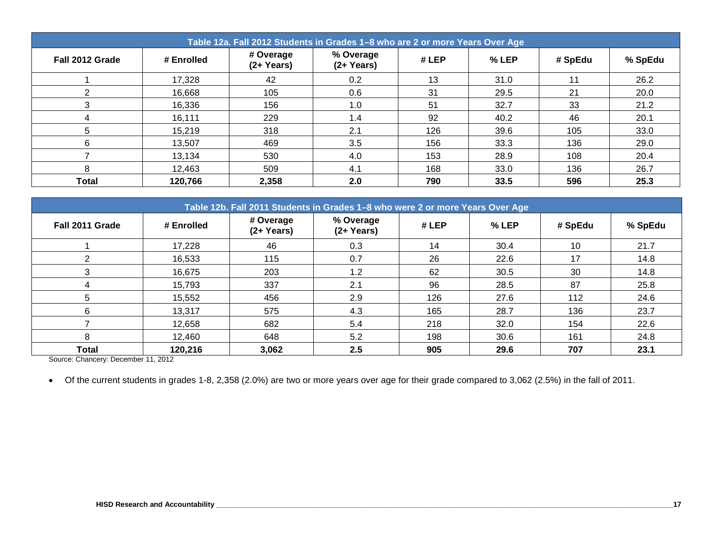|                 | Table 12a. Fall 2012 Students in Grades 1-8 who are 2 or more Years Over Age |                            |                            |      |         |         |         |  |  |  |  |  |  |
|-----------------|------------------------------------------------------------------------------|----------------------------|----------------------------|------|---------|---------|---------|--|--|--|--|--|--|
| Fall 2012 Grade | # Enrolled                                                                   | # Overage<br>$(2 + Years)$ | % Overage<br>$(2 + Years)$ | #LEP | $%$ LEP | # SpEdu | % SpEdu |  |  |  |  |  |  |
|                 | 17,328                                                                       | 42                         | 0.2                        | 13   | 31.0    | 11      | 26.2    |  |  |  |  |  |  |
| っ               | 16,668                                                                       | 105                        | 0.6                        | 31   | 29.5    | 21      | 20.0    |  |  |  |  |  |  |
|                 | 16,336                                                                       | 156                        | 1.0                        | 51   | 32.7    | 33      | 21.2    |  |  |  |  |  |  |
| 4               | 16,111                                                                       | 229                        | 1.4                        | 92   | 40.2    | 46      | 20.1    |  |  |  |  |  |  |
| 5               | 15,219                                                                       | 318                        | 2.1                        | 126  | 39.6    | 105     | 33.0    |  |  |  |  |  |  |
| 6               | 13,507                                                                       | 469                        | 3.5                        | 156  | 33.3    | 136     | 29.0    |  |  |  |  |  |  |
|                 | 13,134                                                                       | 530                        | 4.0                        | 153  | 28.9    | 108     | 20.4    |  |  |  |  |  |  |
| 8               | 12,463                                                                       | 509                        | 4.1                        | 168  | 33.0    | 136     | 26.7    |  |  |  |  |  |  |
| <b>Total</b>    | 120,766                                                                      | 2,358                      | 2.0                        | 790  | 33.5    | 596     | 25.3    |  |  |  |  |  |  |

|                 | Table 12b. Fall 2011 Students in Grades 1-8 who were 2 or more Years Over Age |                            |                            |      |       |         |         |  |  |  |  |  |  |
|-----------------|-------------------------------------------------------------------------------|----------------------------|----------------------------|------|-------|---------|---------|--|--|--|--|--|--|
| Fall 2011 Grade | # Enrolled                                                                    | # Overage<br>$(2 + Years)$ | % Overage<br>$(2 + Years)$ | #LEP | % LEP | # SpEdu | % SpEdu |  |  |  |  |  |  |
|                 | 17,228                                                                        | 46                         | 0.3                        | 14   | 30.4  | 10      | 21.7    |  |  |  |  |  |  |
| 2               | 16,533                                                                        | 115                        | 0.7                        | 26   | 22.6  | 17      | 14.8    |  |  |  |  |  |  |
| 3               | 16,675                                                                        | 203                        | 1.2                        | 62   | 30.5  | 30      | 14.8    |  |  |  |  |  |  |
| 4               | 15,793                                                                        | 337                        | 2.1                        | 96   | 28.5  | 87      | 25.8    |  |  |  |  |  |  |
| 5               | 15,552                                                                        | 456                        | 2.9                        | 126  | 27.6  | 112     | 24.6    |  |  |  |  |  |  |
| 6               | 13,317                                                                        | 575                        | 4.3                        | 165  | 28.7  | 136     | 23.7    |  |  |  |  |  |  |
|                 | 12,658                                                                        | 682                        | 5.4                        | 218  | 32.0  | 154     | 22.6    |  |  |  |  |  |  |
| 8               | 12,460                                                                        | 648                        | 5.2                        | 198  | 30.6  | 161     | 24.8    |  |  |  |  |  |  |
| Total           | 120,216                                                                       | 3,062                      | 2.5                        | 905  | 29.6  | 707     | 23.1    |  |  |  |  |  |  |

Source: Chancery: December 11, 2012

• Of the current students in grades 1-8, 2,358 (2.0%) are two or more years over age for their grade compared to 3,062 (2.5%) in the fall of 2011.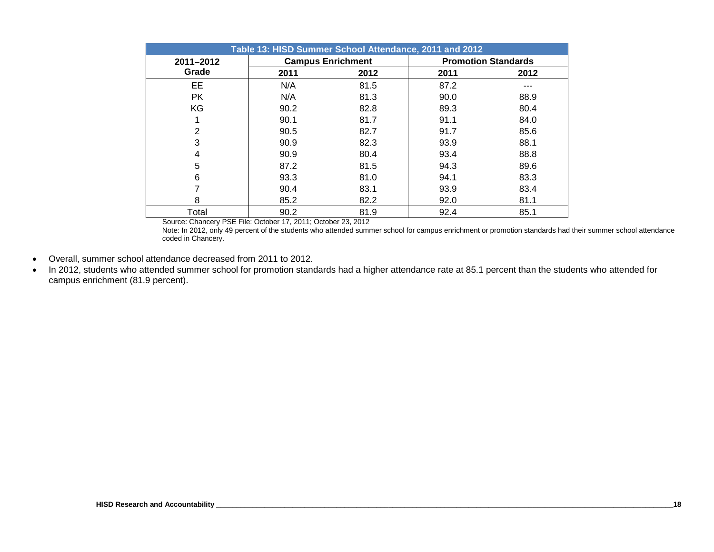|                | Table 13: HISD Summer School Attendance, 2011 and 2012 |                          |      |                            |  |  |  |  |  |  |  |  |
|----------------|--------------------------------------------------------|--------------------------|------|----------------------------|--|--|--|--|--|--|--|--|
| 2011-2012      |                                                        | <b>Campus Enrichment</b> |      | <b>Promotion Standards</b> |  |  |  |  |  |  |  |  |
| Grade          | 2011                                                   | 2012                     | 2011 | 2012                       |  |  |  |  |  |  |  |  |
| EE             | N/A                                                    | 81.5                     | 87.2 |                            |  |  |  |  |  |  |  |  |
| <b>PK</b>      | N/A                                                    | 81.3                     | 90.0 | 88.9                       |  |  |  |  |  |  |  |  |
| KG             | 90.2                                                   | 82.8                     | 89.3 | 80.4                       |  |  |  |  |  |  |  |  |
|                | 90.1                                                   | 81.7                     | 91.1 | 84.0                       |  |  |  |  |  |  |  |  |
| $\overline{2}$ | 90.5                                                   | 82.7                     | 91.7 | 85.6                       |  |  |  |  |  |  |  |  |
| 3              | 90.9                                                   | 82.3                     | 93.9 | 88.1                       |  |  |  |  |  |  |  |  |
| 4              | 90.9                                                   | 80.4                     | 93.4 | 88.8                       |  |  |  |  |  |  |  |  |
| 5              | 87.2                                                   | 81.5                     | 94.3 | 89.6                       |  |  |  |  |  |  |  |  |
| 6              | 93.3                                                   | 81.0                     | 94.1 | 83.3                       |  |  |  |  |  |  |  |  |
|                | 90.4                                                   | 83.1                     | 93.9 | 83.4                       |  |  |  |  |  |  |  |  |
| 8              | 85.2                                                   | 82.2                     | 92.0 | 81.1                       |  |  |  |  |  |  |  |  |
| Total<br>----- | 90.2                                                   | 81.9                     | 92.4 | 85.1                       |  |  |  |  |  |  |  |  |

Source: Chancery PSE File: October 17, 2011; October 23, 2012

Note: In 2012, only 49 percent of the students who attended summer school for campus enrichment or promotion standards had their summer school attendance coded in Chancery.

- Overall, summer school attendance decreased from 2011 to 2012.
- In 2012, students who attended summer school for promotion standards had a higher attendance rate at 85.1 percent than the students who attended for campus enrichment (81.9 percent).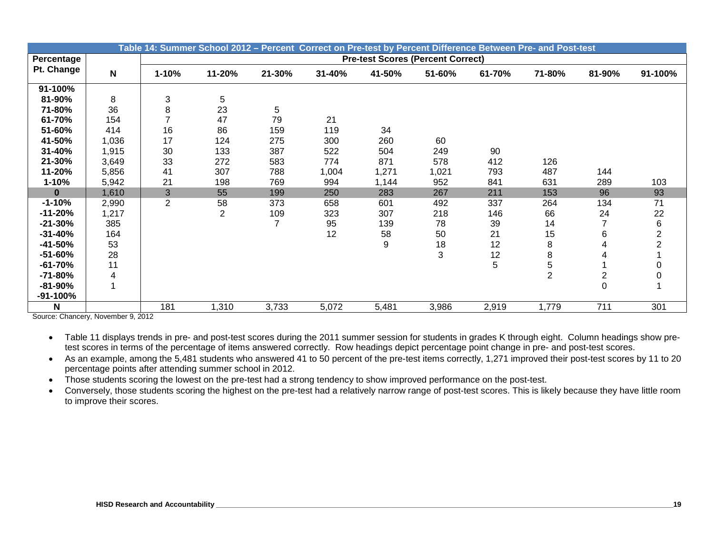|              |                                  |                | Table 14: Summer School 2012 – Percent Correct on Pre-test by Percent Difference Between Pre- and Post-test |                |        |        |                                          |        |                |                         |                                        |
|--------------|----------------------------------|----------------|-------------------------------------------------------------------------------------------------------------|----------------|--------|--------|------------------------------------------|--------|----------------|-------------------------|----------------------------------------|
| Percentage   |                                  |                |                                                                                                             |                |        |        | <b>Pre-test Scores (Percent Correct)</b> |        |                |                         |                                        |
| Pt. Change   | $\mathsf{N}$                     | $1 - 10%$      | 11-20%                                                                                                      | 21-30%         | 31-40% | 41-50% | 51-60%                                   | 61-70% | 71-80%         | 81-90%                  | 91-100%                                |
| 91-100%      |                                  |                |                                                                                                             |                |        |        |                                          |        |                |                         |                                        |
| 81-90%       | 8                                | 3              | 5                                                                                                           |                |        |        |                                          |        |                |                         |                                        |
| 71-80%       | 36                               | 8              | 23                                                                                                          | 5              |        |        |                                          |        |                |                         |                                        |
| 61-70%       | 154                              | 7              | 47                                                                                                          | 79             | 21     |        |                                          |        |                |                         |                                        |
| 51-60%       | 414                              | 16             | 86                                                                                                          | 159            | 119    | 34     |                                          |        |                |                         |                                        |
| 41-50%       | 1,036                            | 17             | 124                                                                                                         | 275            | 300    | 260    | 60                                       |        |                |                         |                                        |
| 31-40%       | 1,915                            | 30             | 133                                                                                                         | 387            | 522    | 504    | 249                                      | 90     |                |                         |                                        |
| 21-30%       | 3,649                            | 33             | 272                                                                                                         | 583            | 774    | 871    | 578                                      | 412    | 126            |                         |                                        |
| 11-20%       | 5,856                            | 41             | 307                                                                                                         | 788            | 1,004  | 1,271  | 1,021                                    | 793    | 487            | 144                     |                                        |
| $1 - 10%$    | 5,942                            | 21             | 198                                                                                                         | 769            | 994    | 1,144  | 952                                      | 841    | 631            | 289                     | 103                                    |
| $\bf{0}$     | 1,610                            | 3              | 55                                                                                                          | 199            | 250    | 283    | 267                                      | 211    | 153            | 96                      | 93                                     |
| $-1 - 10%$   | 2,990                            | $\overline{2}$ | 58                                                                                                          | 373            | 658    | 601    | 492                                      | 337    | 264            | 134                     | 71                                     |
| $-11 - 20%$  | 1,217                            |                | $\overline{\mathbf{c}}$                                                                                     | 109            | 323    | 307    | 218                                      | 146    | 66             | 24                      | $\begin{array}{c} 22 \\ 6 \end{array}$ |
| $-21 - 30%$  | 385                              |                |                                                                                                             | $\overline{7}$ | 95     | 139    | 78                                       | 39     | 14             |                         |                                        |
| $-31 - 40%$  | 164                              |                |                                                                                                             |                | 12     | 58     | 50                                       | 21     | 15             | 6                       | $\overline{2}$                         |
| $-41 - 50%$  | 53                               |                |                                                                                                             |                |        | 9      | 18                                       | 12     | 8              | 4                       |                                        |
| $-51 - 60%$  | 28                               |                |                                                                                                             |                |        |        | 3                                        | 12     | 8              | 4                       |                                        |
| $-61 - 70%$  | 11                               |                |                                                                                                             |                |        |        |                                          | 5      | 5              |                         |                                        |
| $-71 - 80%$  | 4                                |                |                                                                                                             |                |        |        |                                          |        | $\overline{2}$ | $\overline{\mathbf{c}}$ |                                        |
| $-81-90%$    |                                  |                |                                                                                                             |                |        |        |                                          |        |                | $\overline{0}$          |                                        |
| $-91 - 100%$ |                                  |                |                                                                                                             |                |        |        |                                          |        |                |                         |                                        |
| N            | Course Chansen, Neuamber 0, 2012 | 181            | 1,310                                                                                                       | 3,733          | 5,072  | 5,481  | 3,986                                    | 2,919  | 1,779          | 711                     | 301                                    |

Source: Chancery, November 9, 2012

• Table 11 displays trends in pre- and post-test scores during the 2011 summer session for students in grades K through eight. Column headings show pretest scores in terms of the percentage of items answered correctly. Row headings depict percentage point change in pre- and post-test scores.

• As an example, among the 5,481 students who answered 41 to 50 percent of the pre-test items correctly, 1,271 improved their post-test scores by 11 to 20 percentage points after attending summer school in 2012.

• Those students scoring the lowest on the pre-test had a strong tendency to show improved performance on the post-test.

• Conversely, those students scoring the highest on the pre-test had a relatively narrow range of post-test scores. This is likely because they have little room to improve their scores.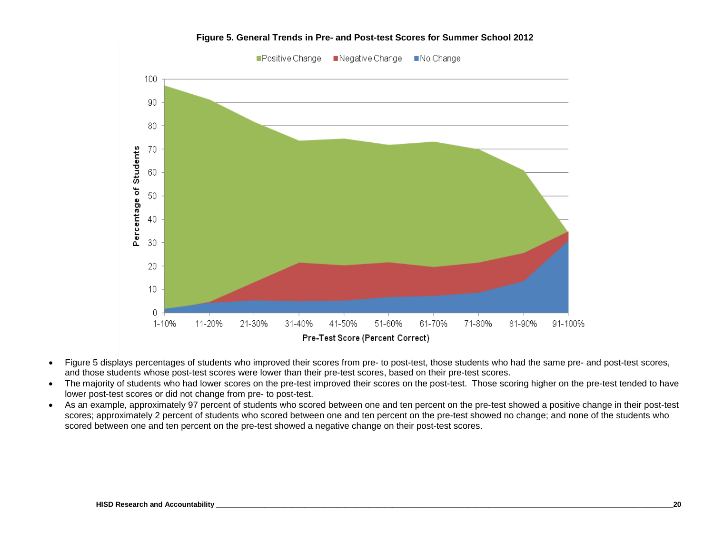

**Figure 5. General Trends in Pre- and Post-test Scores for Summer School 2012**

- Figure 5 displays percentages of students who improved their scores from pre- to post-test, those students who had the same pre- and post-test scores, and those students whose post-test scores were lower than their pre-test scores, based on their pre-test scores.
- The majority of students who had lower scores on the pre-test improved their scores on the post-test. Those scoring higher on the pre-test tended to have lower post-test scores or did not change from pre- to post-test.
- As an example, approximately 97 percent of students who scored between one and ten percent on the pre-test showed a positive change in their post-test scores; approximately 2 percent of students who scored between one and ten percent on the pre-test showed no change; and none of the students who scored between one and ten percent on the pre-test showed a negative change on their post-test scores.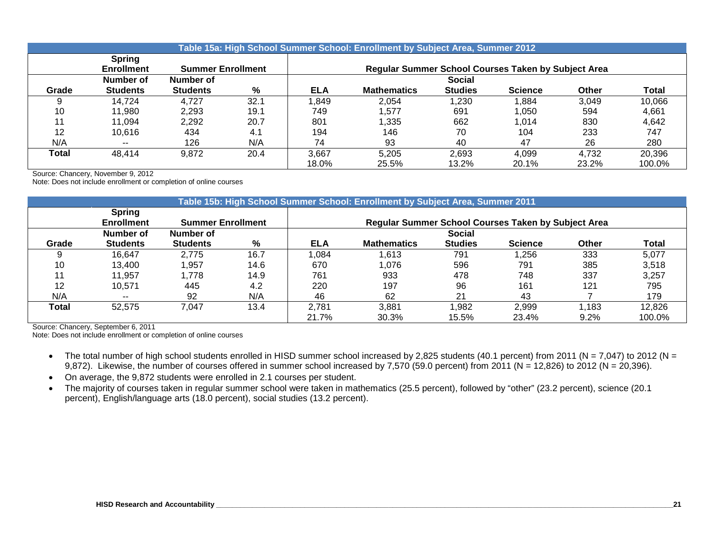|       |                                    |                          |      |            | Table 15a: High School Summer School: Enrollment by Subject Area, Summer 2012 |                |                                                     |              |              |
|-------|------------------------------------|--------------------------|------|------------|-------------------------------------------------------------------------------|----------------|-----------------------------------------------------|--------------|--------------|
|       | <b>Spring</b><br><b>Enrollment</b> | <b>Summer Enrollment</b> |      |            |                                                                               |                | Regular Summer School Courses Taken by Subject Area |              |              |
|       | Number of                          | Number of                |      |            |                                                                               | <b>Social</b>  |                                                     |              |              |
| Grade | <b>Students</b>                    | <b>Students</b>          | %    | <b>ELA</b> | <b>Mathematics</b>                                                            | <b>Studies</b> | <b>Science</b>                                      | <b>Other</b> | <b>Total</b> |
|       | 14.724                             | 4.727                    | 32.1 | .849       | 2,054                                                                         | ,230           | .884                                                | 3.049        | 10,066       |
| 10    | 11.980                             | 2,293                    | 19.1 | 749        | 1.577                                                                         | 691            | 1.050                                               | 594          | 4,661        |
| 11    | 11.094                             | 2,292                    | 20.7 | 801        | .335                                                                          | 662            | 1,014                                               | 830          | 4,642        |
| 12    | 10.616                             | 434                      | 4.1  | 194        | 146                                                                           | 70             | 104                                                 | 233          | 747          |
| N/A   | $- -$                              | 126                      | N/A  | 74         | 93                                                                            | 40             | 47                                                  | 26           | 280          |
| Total | 48.414                             | 9,872                    | 20.4 | 3,667      | 5,205                                                                         | 2,693          | 4.099                                               | 4,732        | 20,396       |
|       |                                    |                          |      | 18.0%      | 25.5%                                                                         | 13.2%          | 20.1%                                               | 23.2%        | 100.0%       |

Source: Chancery, November 9, 2012

Note: Does not include enrollment or completion of online courses

|       | Table 15b: High School Summer School: Enrollment by Subject Area, Summer 2011 |                          |      |                                                            |                    |                |                |       |              |  |  |  |  |  |
|-------|-------------------------------------------------------------------------------|--------------------------|------|------------------------------------------------------------|--------------------|----------------|----------------|-------|--------------|--|--|--|--|--|
|       | <b>Spring</b>                                                                 |                          |      |                                                            |                    |                |                |       |              |  |  |  |  |  |
|       | <b>Enrollment</b>                                                             | <b>Summer Enrollment</b> |      | <b>Regular Summer School Courses Taken by Subject Area</b> |                    |                |                |       |              |  |  |  |  |  |
|       | Number of                                                                     | Number of                |      |                                                            | <b>Social</b>      |                |                |       |              |  |  |  |  |  |
| Grade | <b>Students</b>                                                               | <b>Students</b>          | %    | <b>ELA</b>                                                 | <b>Mathematics</b> | <b>Studies</b> | <b>Science</b> | Other | <b>Total</b> |  |  |  |  |  |
|       | 16.647                                                                        | 2.775                    | 16.7 | 0.084                                                      | 1,613              | 791            | 1.256          | 333   | 5,077        |  |  |  |  |  |
| 10    | 13.400                                                                        | 1,957                    | 14.6 | 670                                                        | 1,076              | 596            | 791            | 385   | 3,518        |  |  |  |  |  |
|       | 11.957                                                                        | 1,778                    | 14.9 | 761                                                        | 933                | 478            | 748            | 337   | 3,257        |  |  |  |  |  |
| 12    | 10.571                                                                        | 445                      | 4.2  | 220                                                        | 197                | 96             | 161            | 121   | 795          |  |  |  |  |  |
| N/A   | $- -$                                                                         | 92                       | N/A  | 46                                                         | 62                 | 21             | 43             |       | 179          |  |  |  |  |  |
| Total | 52.575                                                                        | 7,047                    | 13.4 | 2,781                                                      | 3,881              | ,982           | 2,999          | 1,183 | 12,826       |  |  |  |  |  |
|       |                                                                               |                          |      | 21.7%                                                      | 30.3%              | 15.5%          | 23.4%          | 9.2%  | 100.0%       |  |  |  |  |  |

Source: Chancery, September 6, 2011

Note: Does not include enrollment or completion of online courses

- The total number of high school students enrolled in HISD summer school increased by 2,825 students (40.1 percent) from 2011 (N = 7,047) to 2012 (N = 9,872). Likewise, the number of courses offered in summer school increased by 7,570 (59.0 percent) from 2011 (N = 12,826) to 2012 (N = 20,396).
- On average, the 9,872 students were enrolled in 2.1 courses per student.
- The majority of courses taken in regular summer school were taken in mathematics (25.5 percent), followed by "other" (23.2 percent), science (20.1 percent), English/language arts (18.0 percent), social studies (13.2 percent).